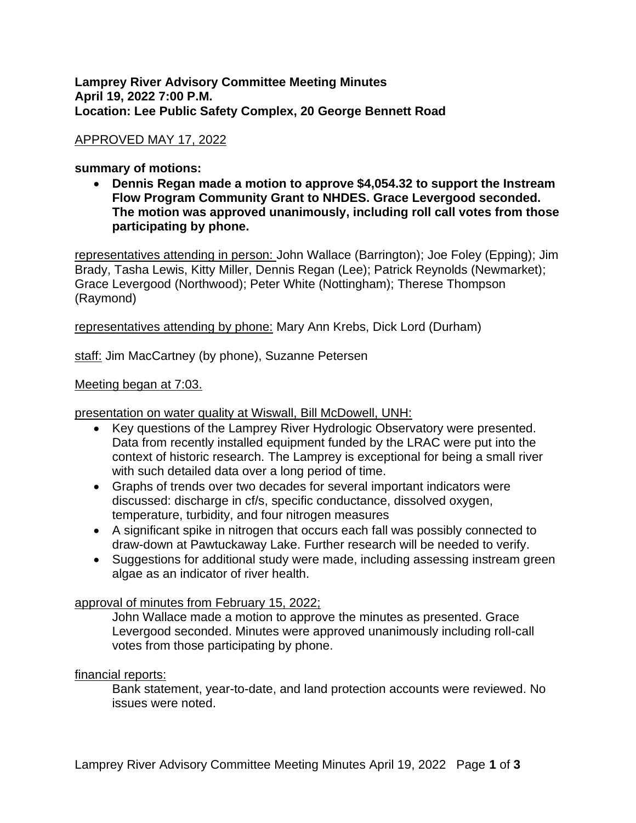## **Lamprey River Advisory Committee Meeting Minutes April 19, 2022 7:00 P.M. Location: Lee Public Safety Complex, 20 George Bennett Road**

# APPROVED MAY 17, 2022

## **summary of motions:**

• **Dennis Regan made a motion to approve \$4,054.32 to support the Instream Flow Program Community Grant to NHDES. Grace Levergood seconded. The motion was approved unanimously, including roll call votes from those participating by phone.** 

representatives attending in person: John Wallace (Barrington); Joe Foley (Epping); Jim Brady, Tasha Lewis, Kitty Miller, Dennis Regan (Lee); Patrick Reynolds (Newmarket); Grace Levergood (Northwood); Peter White (Nottingham); Therese Thompson (Raymond)

representatives attending by phone: Mary Ann Krebs, Dick Lord (Durham)

staff: Jim MacCartney (by phone), Suzanne Petersen

## Meeting began at 7:03.

presentation on water quality at Wiswall, Bill McDowell, UNH:

- Key questions of the Lamprey River Hydrologic Observatory were presented. Data from recently installed equipment funded by the LRAC were put into the context of historic research. The Lamprey is exceptional for being a small river with such detailed data over a long period of time.
- Graphs of trends over two decades for several important indicators were discussed: discharge in cf/s, specific conductance, dissolved oxygen, temperature, turbidity, and four nitrogen measures
- A significant spike in nitrogen that occurs each fall was possibly connected to draw-down at Pawtuckaway Lake. Further research will be needed to verify.
- Suggestions for additional study were made, including assessing instream green algae as an indicator of river health.

approval of minutes from February 15, 2022;

John Wallace made a motion to approve the minutes as presented. Grace Levergood seconded. Minutes were approved unanimously including roll-call votes from those participating by phone.

## financial reports:

Bank statement, year-to-date, and land protection accounts were reviewed. No issues were noted.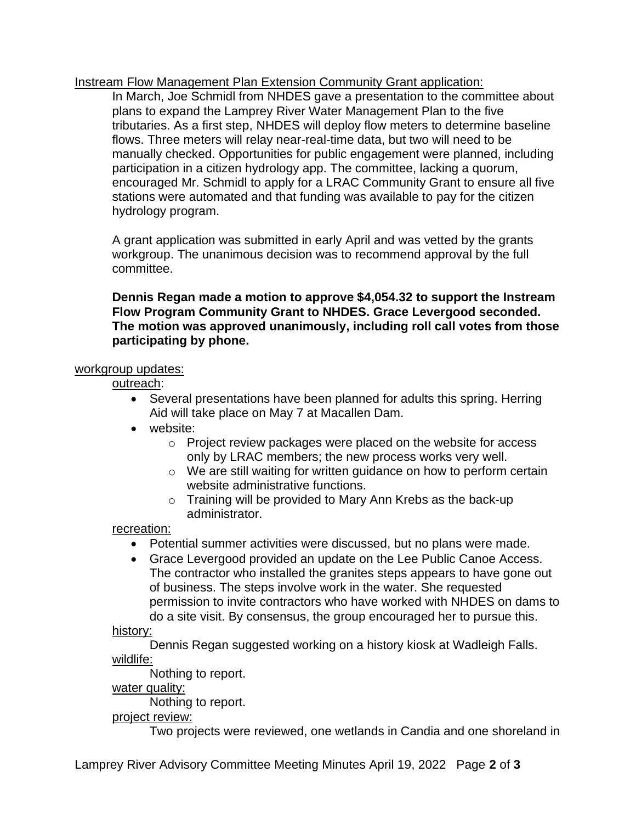Instream Flow Management Plan Extension Community Grant application:

In March, Joe Schmidl from NHDES gave a presentation to the committee about plans to expand the Lamprey River Water Management Plan to the five tributaries. As a first step, NHDES will deploy flow meters to determine baseline flows. Three meters will relay near-real-time data, but two will need to be manually checked. Opportunities for public engagement were planned, including participation in a citizen hydrology app. The committee, lacking a quorum, encouraged Mr. Schmidl to apply for a LRAC Community Grant to ensure all five stations were automated and that funding was available to pay for the citizen hydrology program.

A grant application was submitted in early April and was vetted by the grants workgroup. The unanimous decision was to recommend approval by the full committee.

## **Dennis Regan made a motion to approve \$4,054.32 to support the Instream Flow Program Community Grant to NHDES. Grace Levergood seconded. The motion was approved unanimously, including roll call votes from those participating by phone.**

## workgroup updates:

outreach:

- Several presentations have been planned for adults this spring. Herring Aid will take place on May 7 at Macallen Dam.
- website:
	- o Project review packages were placed on the website for access only by LRAC members; the new process works very well.
	- o We are still waiting for written guidance on how to perform certain website administrative functions.
	- o Training will be provided to Mary Ann Krebs as the back-up administrator.

recreation:

- Potential summer activities were discussed, but no plans were made.
- Grace Levergood provided an update on the Lee Public Canoe Access. The contractor who installed the granites steps appears to have gone out of business. The steps involve work in the water. She requested permission to invite contractors who have worked with NHDES on dams to do a site visit. By consensus, the group encouraged her to pursue this.

history:

Dennis Regan suggested working on a history kiosk at Wadleigh Falls. wildlife:

Nothing to report.

water quality:

Nothing to report.

# project review:

Two projects were reviewed, one wetlands in Candia and one shoreland in

Lamprey River Advisory Committee Meeting Minutes April 19, 2022 Page **2** of **3**